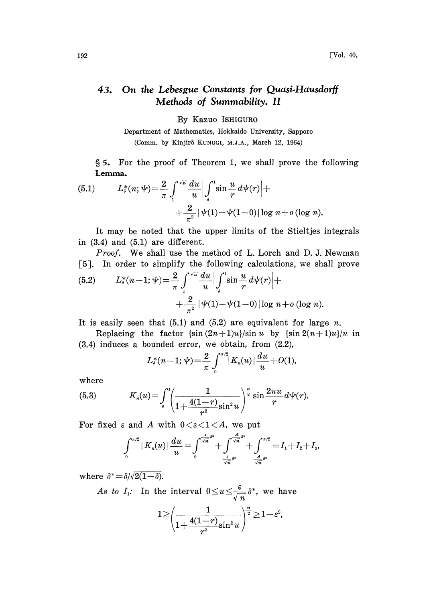## On the Lebesgue Constants for Quasi.Hausdorff  $43.$ Methods of Summability. II

By Kazuo ISHIGURO

Department of Mathematics, Hokkaido University, Sapporo (Comm. by Kinjir6 KUNUGI, M.J.A., March 12, 1964)

5 For the proof of Theorem 1, we shall prove the following Lemma.

(5.1) 
$$
L_s^*(n; \psi) = \frac{2}{\pi} \int_1^{\sqrt{n}} \frac{du}{u} \Big| \int_s^1 \sin \frac{u}{r} d\psi(r) \Big| + \\ + \frac{2}{\pi^2} |\psi(1) - \psi(1-0)| \log n + o(\log n).
$$

It may be noted that the upper limits of the Stieltjes integrals in (3.4) and (5.1) are different.

Proof. We shall use the method of L. Lorch and D. J. Newman [5]. In order to simplify the following calculations, we shall prove

(5.2) 
$$
L_{\delta}^{*}(n-1; \psi) = \frac{2}{\pi} \int_{1}^{\sqrt{n}} \frac{du}{u} \Big| \int_{\delta}^{1} \sin \frac{u}{r} d\psi(r) \Big| + \\ + \frac{2}{\pi^{2}} |\psi(1) - \psi(1-0)| \log n + o(\log n).
$$

It is easily seen that  $(5.1)$  and  $(5.2)$  are equivalent for large n.

Replacing the factor  $\{\sin((2n+1)u)\}/\sin(u)$  by  $\{\sin((2n+1)u)\}/u\}$ (3.4) induces a bounded error, we obtain, from (2.2),

$$
L_{\delta}^{*}(n-1; \mathcal{V}) = \frac{2}{\pi} \int_{0}^{\pi/2} |K_{n}(u)| \frac{du}{u} + O(1),
$$

where

(5.3) 
$$
K_n(u) = \int_{s}^{1} \left( \frac{1}{1 + \frac{4(1-r)}{r^2} \sin^2 u} \right)^{\frac{n}{2}} \sin \frac{2nu}{r} d\psi(r).
$$

For fixed  $\varepsilon$  and A with  $0 < \varepsilon < 1 < A$ , we put

$$
\int_0^{\pi/2} |K_n(u)| \frac{du}{u} = \int_0^{\frac{\epsilon}{\sqrt{n}} \delta^*} + \int_{\frac{\epsilon}{\sqrt{n}} \delta^*}^{\frac{\epsilon}{\sqrt{n}} \delta^*} + \int_{\frac{\epsilon}{\sqrt{n}} \delta^*}^{\pi/2} = I_1 + I_2 + I_3,
$$

where  $\delta^* = \delta / \sqrt{2(1-\delta)}$ .

As to  $I_1$ : In the interval  $0 \le u \le \frac{c}{\sqrt{n}} \delta^*$ , we have

$$
1{\geq}\:\left(\frac{1}{1{+}\frac{4(1{-}r)}{r^2}{\sin^2 u}}\right)^{\!\frac{n}{2}}\!\!\geq\! 1{-}\varepsilon^2\!,
$$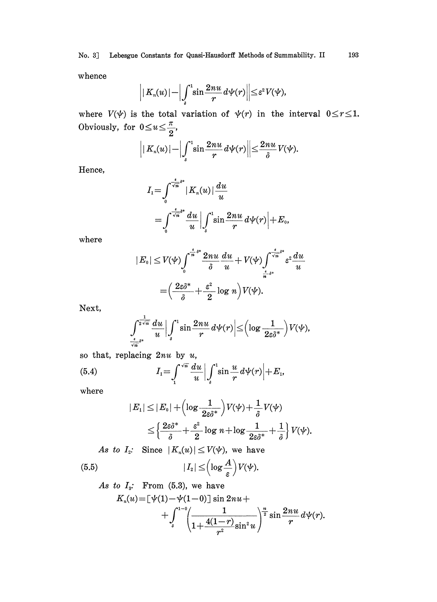whence

$$
\bigg| \big| K_n(u) \big| - \bigg| \int_s^1 \!\!\sin \frac{2 n u}{r} d \psi (r) \bigg| \bigg| \!\leq\! \varepsilon^2 V\!(\psi),
$$

where  $V(\psi)$  is the total variation of  $\psi(r)$  in the interval  $0 \le r \le 1$ . Obviously, for  $0 \le u \le \frac{\pi}{2}$ ,

$$
\left| \left| K_n(u) \right| - \left| \int_s^1 \sin \frac{2nu}{r} \, d\psi(r) \right| \right| \leq \frac{2nu}{\delta} \, V(\psi).
$$

Hence,

$$
I_1 = \int_0^{\frac{\epsilon}{\sqrt{n}}s^*} |K_n(u)| \frac{du}{u}
$$
  
= 
$$
\int_0^{\frac{\epsilon}{\sqrt{n}}s^*} \frac{du}{u} \Big| \int_s^1 \sin \frac{2nu}{r} d\psi(r) \Big| + E_0,
$$

where

$$
\begin{aligned} |E_0| \le V(\psi) & \int_0^{\frac{\epsilon}{n} \delta^*} \frac{2 n u}{\delta} \frac{du}{u} + V(\psi) \int_{\frac{\epsilon}{n} \delta^*}^{\frac{\epsilon}{\sqrt{n}} \delta^*} \varepsilon^2 \frac{du}{u} \\ = & \left( \frac{2 \varepsilon \delta^*}{\delta} + \frac{\varepsilon^2}{2} \log n \right) V(\psi). \end{aligned}
$$

Next,

$$
\int_{\frac{\epsilon}{\sqrt{n}}\delta^*}^{\frac{1}{2\sqrt{n}}}\frac{du}{u}\bigg|\int_{\delta}^1\sin \frac{2nu}{r}\,d\psi(r)\bigg|\!\leq\!\Big(\!\log\frac{1}{2\varepsilon\delta^*}\Big)V(\psi),
$$

so that, replacing  $2nu$  by  $u$ ,

(5.4) 
$$
I_1 = \int_{1}^{\sqrt{n}} \frac{du}{u} \Big| \int_{\delta}^{1} \sin \frac{u}{r} d\psi(r) \Big| + E_1,
$$

where

$$
\begin{aligned}|E_1|\leq |E_0|+\Bigl(\log\frac{1}{2\varepsilon\delta^*}\Bigr)V(\psi)+\frac{1}{\delta}V(\psi)\\ \leq \Bigl\{\frac{2\varepsilon\delta^*}{\delta}+\frac{\varepsilon^2}{2}\log\,n+\log\frac{1}{2\varepsilon\delta^*}+\frac{1}{\delta}\Bigr\}\,V(\psi).\end{aligned}
$$

As to  $I_2$ : Since  $|K_n(u)| \le V(\psi)$ , we have

(5.5) 
$$
|I_z| \leq \left(\log \frac{A}{\varepsilon}\right) V(\psi).
$$

As to 
$$
I_3
$$
: From (5.3), we have  
\n
$$
K_n(u) = [\psi(1) - \psi(1-0)] \sin 2nu + \int_{s}^{1-0} \left( \frac{1}{1 + \frac{4(1-r)}{r^2} \sin^2 u} \right)^{\frac{n}{2}} \sin \frac{2nu}{r} d\psi(r).
$$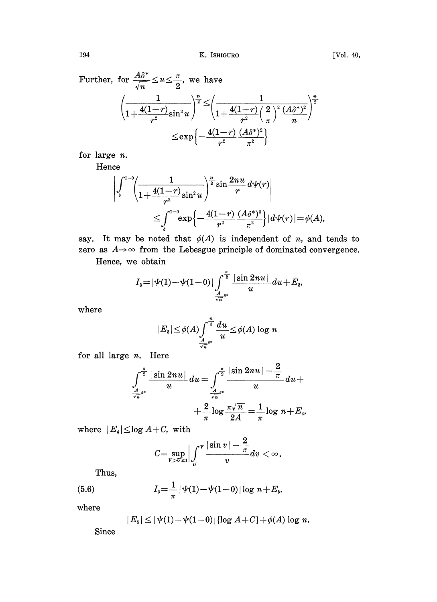Further, for  $\frac{A \delta^*}{\sqrt{n}} \!\leq\! u \!\leq\! \frac{\pi}{2},$  we have

$$
\frac{\left( \frac{1}{1 + \frac{4(1-r)}{r^2} \sin^2 u} \right)^{\frac{n}{2}} \leq \left( \frac{1}{1 + \frac{4(1-r)}{r^2} \left( \frac{2}{\pi} \right)^2 \frac{(A\delta^*)^2}{n}} \right)^{\frac{n}{2}}}{\leq \exp \left\{ - \frac{4(1-r)}{r^2} \frac{(A\delta^*)^2}{\pi^2} \right\}}
$$

for large n.

Hence

$$
\begin{aligned} \int_{s}^{1-0}\!\!\left(\frac{1}{1\!+\!\frac{4(1\!-\!r)}{r^2}{\sin^2 u}}\right)^{\!\frac{n}{2}}\!\sin\frac{2nu}{r}\,d\psi(r)\Bigg|\\ \leq& \int_{s}^{1-0}\!\exp\!\Big\{-\frac{4(1\!-\!r)}{r^2}\frac{(A\delta^*)^2}{\pi^2}\Big\}\vert\,d\psi(r)\vert\!=\!\phi(A), \end{aligned}
$$

say. It may be noted that  $\phi(A)$  is independent of n, and tends to  $\frac{V_s}{\sqrt{2\pi}}$  ( $r^2 = \pi^2$ )<br>say. It may be noted that  $\phi(A)$  is independent of *n*, and tends to<br>zero as  $A \rightarrow \infty$  from the Lebesgue principle of dominated convergence.

Hence, we obtain

$$
I_{3}=|\psi(1)-\psi(1-0)|\int_{\frac{A}{\sqrt{n}}^{3}}^{\frac{\pi}{2}}\frac{|\sin 2nu|}{u}du+E_{3},
$$

where

$$
|E_s|\!\leq\!\phi(A)\!\int_{\frac{A}{\sqrt{n}}^{s*}}^{\frac{n}{s}}\frac{du}{u}\!\leq\!\phi(A)\log n
$$

for all large  $n$ . Here

$$
\int_{\frac{A}{\sqrt{n}}s^*}^{\frac{\pi}{2}} \frac{|\sin 2nu|}{u} du = \int_{\frac{A}{\sqrt{n}}s^*}^{\frac{\pi}{2}} \frac{|\sin 2nu| - \frac{2}{\pi}}{u} du + \\ + \frac{2}{\pi} \log \frac{\pi \sqrt{n}}{2A} = \frac{1}{\pi} \log n + E_4
$$

where  $|E_4| \leq \log A + C$ , with

$$
C = \sup_{v > v \ge 1} \left| \int_v^v \frac{|\sin v| - \frac{2}{\pi}}{v} dv \right| < \infty.
$$

Thus,

(5.6) 
$$
I_{3} = \frac{1}{\pi} |\psi(1) - \psi(1-0)| \log n + E_{5},
$$

where

$$
|E_5| \leq |\psi(1) - \psi(1-0)| \{ \log A + C \} + \phi(A) \log n.
$$

Since